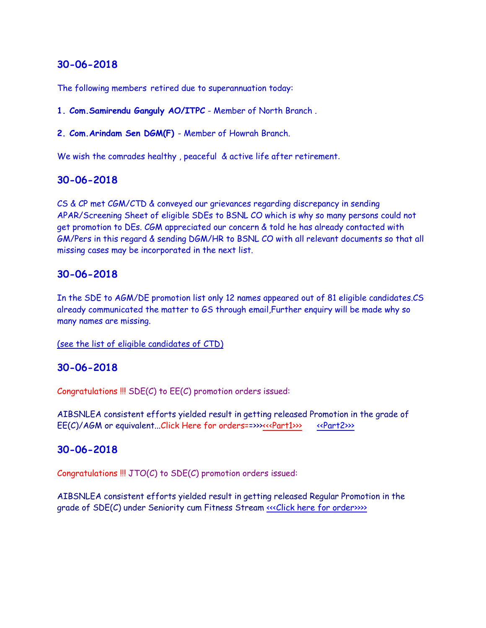The following members retired due to superannuation today:

**1. Com.Samirendu Ganguly AO/ITPC** - Member of North Branch .

**2. Com.Arindam Sen DGM(F)** - Member of Howrah Branch.

We wish the comrades healthy , peaceful & active life after retirement.

### **30-06-2018**

CS & CP met CGM/CTD & conveyed our grievances regarding discrepancy in sending APAR/Screening Sheet of eligible SDEs to BSNL CO which is why so many persons could not get promotion to DEs. CGM appreciated our concern & told he has already contacted with GM/Pers in this regard & sending DGM/HR to BSNL CO with all relevant documents so that all missing cases may be incorporated in the next list.

### **30-06-2018**

In the SDE to AGM/DE promotion list only 12 names appeared out of 81 eligible candidates.CS already communicated the matter to GS through email,Further enquiry will be made why so many names are missing.

(see the list of eligible candidates of CTD)

### **30-06-2018**

Congratulations !!! SDE(C) to EE(C) promotion orders issued:

AIBSNLEA consistent efforts yielded result in getting released Promotion in the grade of EE(C)/AGM or equivalent...Click Here for orders==>>><<Part1>>>[<<Part2>>>](http://www.aibsnleachq.in/SDE%20TO%20EE%20PT-2.pdf)<

### **30-06-2018**

Congratulations  $\text{III}$  JTO(C) to SDE(C) promotion orders issued:

AIBSNLEA consistent efforts yielded result in getting released Regular Promotion in the grade of SDE(C) under Seniority cum Fitness Stream <<< Click here for order>>>>>>>>>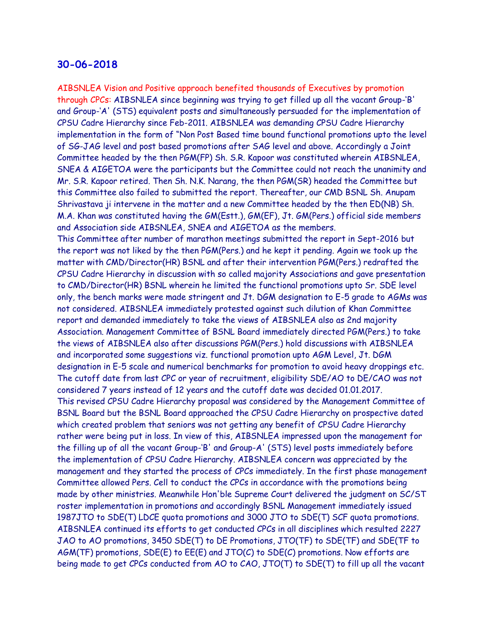AIBSNLEA Vision and Positive approach benefited thousands of Executives by promotion through CPCs: AIBSNLEA since beginning was trying to get filled up all the vacant Group-'B' and Group-'A' (STS) equivalent posts and simultaneously persuaded for the implementation of CPSU Cadre Hierarchy since Feb-2011. AIBSNLEA was demanding CPSU Cadre Hierarchy implementation in the form of "Non Post Based time bound functional promotions upto the level of SG-JAG level and post based promotions after SAG level and above. Accordingly a Joint Committee headed by the then PGM(FP) Sh. S.R. Kapoor was constituted wherein AIBSNLEA, SNEA & AIGETOA were the participants but the Committee could not reach the unanimity and Mr. S.R. Kapoor retired. Then Sh. N.K. Narang, the then PGM(SR) headed the Committee but this Committee also failed to submitted the report. Thereafter, our CMD BSNL Sh. Anupam Shrivastava ji intervene in the matter and a new Committee headed by the then ED(NB) Sh. M.A. Khan was constituted having the GM(Estt.), GM(EF), Jt. GM(Pers.) official side members and Association side AIBSNLEA, SNEA and AIGETOA as the members. This Committee after number of marathon meetings submitted the report in Sept-2016 but the report was not liked by the then PGM(Pers.) and he kept it pending. Again we took up the matter with CMD/Director(HR) BSNL and after their intervention PGM(Pers.) redrafted the CPSU Cadre Hierarchy in discussion with so called majority Associations and gave presentation to CMD/Director(HR) BSNL wherein he limited the functional promotions upto Sr. SDE level only, the bench marks were made stringent and Jt. DGM designation to E-5 grade to AGMs was not considered. AIBSNLEA immediately protested against such dilution of Khan Committee report and demanded immediately to take the views of AIBSNLEA also as 2nd majority Association. Management Committee of BSNL Board immediately directed PGM(Pers.) to take the views of AIBSNLEA also after discussions PGM(Pers.) hold discussions with AIBSNLEA and incorporated some suggestions viz. functional promotion upto AGM Level, Jt. DGM designation in E-5 scale and numerical benchmarks for promotion to avoid heavy droppings etc. The cutoff date from last CPC or year of recruitment, eligibility SDE/AO to DE/CAO was not considered 7 years instead of 12 years and the cutoff date was decided 01.01.2017. This revised CPSU Cadre Hierarchy proposal was considered by the Management Committee of BSNL Board but the BSNL Board approached the CPSU Cadre Hierarchy on prospective dated which created problem that seniors was not getting any benefit of CPSU Cadre Hierarchy rather were being put in loss. In view of this, AIBSNLEA impressed upon the management for the filling up of all the vacant Group-'B' and Group-A' (STS) level posts immediately before the implementation of CPSU Cadre Hierarchy. AIBSNLEA concern was appreciated by the management and they started the process of CPCs immediately. In the first phase management Committee allowed Pers. Cell to conduct the CPCs in accordance with the promotions being made by other ministries. Meanwhile Hon'ble Supreme Court delivered the judgment on SC/ST roster implementation in promotions and accordingly BSNL Management immediately issued 1987JTO to SDE(T) LDCE quota promotions and 3000 JTO to SDE(T) SCF quota promotions. AIBSNLEA continued its efforts to get conducted CPCs in all disciplines which resulted 2227 JAO to AO promotions, 3450 SDE(T) to DE Promotions, JTO(TF) to SDE(TF) and SDE(TF to AGM(TF) promotions, SDE(E) to EE(E) and JTO(C) to SDE(C) promotions. Now efforts are being made to get CPCs conducted from AO to CAO, JTO(T) to SDE(T) to fill up all the vacant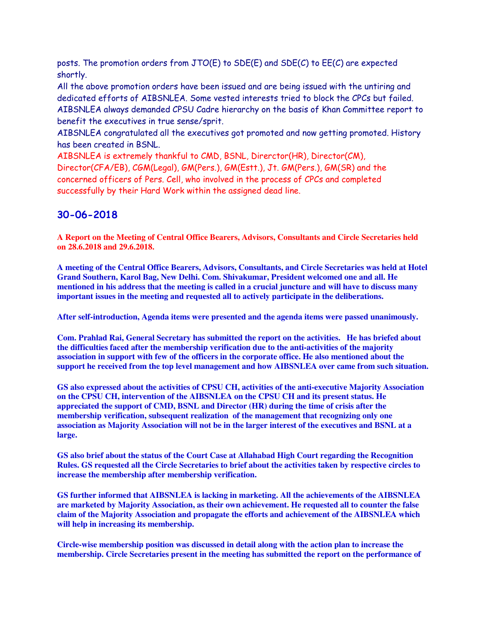posts. The promotion orders from JTO(E) to SDE(E) and SDE(C) to EE(C) are expected shortly.

All the above promotion orders have been issued and are being issued with the untiring and dedicated efforts of AIBSNLEA. Some vested interests tried to block the CPCs but failed. AIBSNLEA always demanded CPSU Cadre hierarchy on the basis of Khan Committee report to benefit the executives in true sense/sprit.

AIBSNLEA congratulated all the executives got promoted and now getting promoted. History has been created in BSNL.

AIBSNLEA is extremely thankful to CMD, BSNL, Direrctor(HR), Director(CM), Director(CFA/EB), CGM(Legal), GM(Pers.), GM(Estt.), Jt. GM(Pers.), GM(SR) and the concerned officers of Pers. Cell, who involved in the process of CPCs and completed successfully by their Hard Work within the assigned dead line.

# **30-06-2018**

**A Report on the Meeting of Central Office Bearers, Advisors, Consultants and Circle Secretaries held on 28.6.2018 and 29.6.2018.**

**A meeting of the Central Office Bearers, Advisors, Consultants, and Circle Secretaries was held at Hotel Grand Southern, Karol Bag, New Delhi. Com. Shivakumar, President welcomed one and all. He mentioned in his address that the meeting is called in a crucial juncture and will have to discuss many important issues in the meeting and requested all to actively participate in the deliberations.**

**After self-introduction, Agenda items were presented and the agenda items were passed unanimously.**

**Com. Prahlad Rai, General Secretary has submitted the report on the activities. He has briefed about the difficulties faced after the membership verification due to the anti-activities of the majority association in support with few of the officers in the corporate office. He also mentioned about the support he received from the top level management and how AIBSNLEA over came from such situation.**

**GS also expressed about the activities of CPSU CH, activities of the anti-executive Majority Association on the CPSU CH, intervention of the AIBSNLEA on the CPSU CH and its present status. He appreciated the support of CMD, BSNL and Director (HR) during the time of crisis after the membership verification, subsequent realization of the management that recognizing only one association as Majority Association will not be in the larger interest of the executives and BSNL at a large.**

**GS also brief about the status of the Court Case at Allahabad High Court regarding the Recognition Rules. GS requested all the Circle Secretaries to brief about the activities taken by respective circles to increase the membership after membership verification.**

**GS further informed that AIBSNLEA is lacking in marketing. All the achievements of the AIBSNLEA are marketed by Majority Association, as their own achievement. He requested all to counter the false claim of the Majority Association and propagate the efforts and achievement of the AIBSNLEA which will help in increasing its membership.** 

**Circle-wise membership position was discussed in detail along with the action plan to increase the membership. Circle Secretaries present in the meeting has submitted the report on the performance of**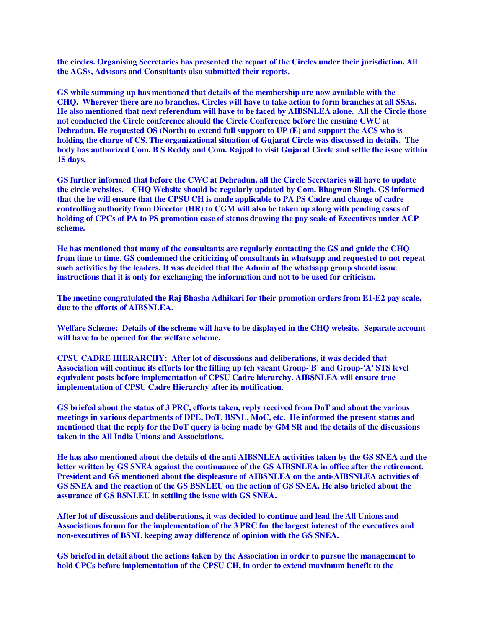**the circles. Organising Secretaries has presented the report of the Circles under their jurisdiction. All the AGSs, Advisors and Consultants also submitted their reports.**

**GS while summing up has mentioned that details of the membership are now available with the CHQ. Wherever there are no branches, Circles will have to take action to form branches at all SSAs. He also mentioned that next referendum will have to be faced by AIBSNLEA alone. All the Circle those not conducted the Circle conference should the Circle Conference before the ensuing CWC at Dehradun. He requested OS (North) to extend full support to UP (E) and support the ACS who is holding the charge of CS. The organizational situation of Gujarat Circle was discussed in details. The body has authorized Com. B S Reddy and Com. Rajpal to visit Gujarat Circle and settle the issue within 15 days.**

**GS further informed that before the CWC at Dehradun, all the Circle Secretaries will have to update the circle websites. CHQ Website should be regularly updated by Com. Bhagwan Singh. GS informed that the he will ensure that the CPSU CH is made applicable to PA PS Cadre and change of cadre controlling authority from Director (HR) to CGM will also be taken up along with pending cases of holding of CPCs of PA to PS promotion case of stenos drawing the pay scale of Executives under ACP scheme.**

**He has mentioned that many of the consultants are regularly contacting the GS and guide the CHQ from time to time. GS condemned the criticizing of consultants in whatsapp and requested to not repeat such activities by the leaders. It was decided that the Admin of the whatsapp group should issue instructions that it is only for exchanging the information and not to be used for criticism.** 

**The meeting congratulated the Raj Bhasha Adhikari for their promotion orders from E1-E2 pay scale, due to the efforts of AIBSNLEA.**

**Welfare Scheme: Details of the scheme will have to be displayed in the CHQ website. Separate account will have to be opened for the welfare scheme.**

**CPSU CADRE HIERARCHY: After lot of discussions and deliberations, it was decided that Association will continue its efforts for the filling up teh vacant Group-'B' and Group-'A' STS level equivalent posts before implementation of CPSU Cadre hierarchy. AIBSNLEA will ensure true implementation of CPSU Cadre Hierarchy after its notification.**

**GS briefed about the status of 3 PRC, efforts taken, reply received from DoT and about the various meetings in various departments of DPE, DoT, BSNL, MoC, etc. He informed the present status and mentioned that the reply for the DoT query is being made by GM SR and the details of the discussions taken in the All India Unions and Associations.**

**He has also mentioned about the details of the anti AIBSNLEA activities taken by the GS SNEA and the letter written by GS SNEA against the continuance of the GS AIBSNLEA in office after the retirement. President and GS mentioned about the displeasure of AIBSNLEA on the anti-AIBSNLEA activities of GS SNEA and the reaction of the GS BSNLEU on the action of GS SNEA. He also briefed about the assurance of GS BSNLEU in settling the issue with GS SNEA.**

**After lot of discussions and deliberations, it was decided to continue and lead the All Unions and Associations forum for the implementation of the 3 PRC for the largest interest of the executives and non-executives of BSNL keeping away difference of opinion with the GS SNEA.**

**GS briefed in detail about the actions taken by the Association in order to pursue the management to hold CPCs before implementation of the CPSU CH, in order to extend maximum benefit to the**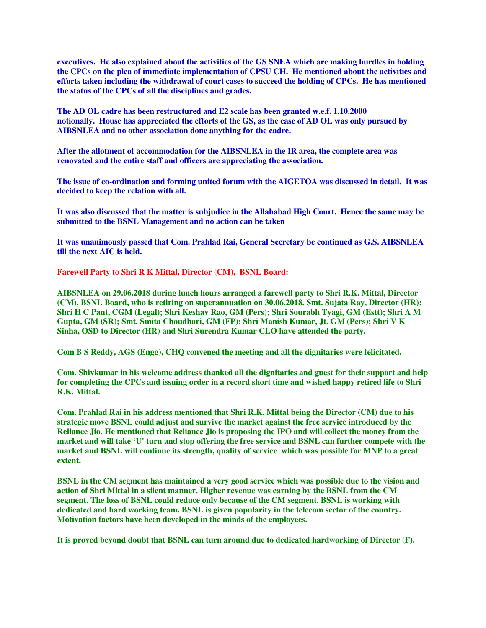**executives. He also explained about the activities of the GS SNEA which are making hurdles in holding the CPCs on the plea of immediate implementation of CPSU CH. He mentioned about the activities and efforts taken including the withdrawal of court cases to succeed the holding of CPCs. He has mentioned the status of the CPCs of all the disciplines and grades.** 

**The AD OL cadre has been restructured and E2 scale has been granted w.e.f. 1.10.2000 notionally. House has appreciated the efforts of the GS, as the case of AD OL was only pursued by AIBSNLEA and no other association done anything for the cadre.**

**After the allotment of accommodation for the AIBSNLEA in the IR area, the complete area was renovated and the entire staff and officers are appreciating the association.** 

**The issue of co-ordination and forming united forum with the AIGETOA was discussed in detail. It was decided to keep the relation with all.** 

**It was also discussed that the matter is subjudice in the Allahabad High Court. Hence the same may be submitted to the BSNL Management and no action can be taken**

**It was unanimously passed that Com. Prahlad Rai, General Secretary be continued as G.S. AIBSNLEA till the next AIC is held.**

**Farewell Party to Shri R K Mittal, Director (CM), BSNL Board:**

**AIBSNLEA on 29.06.2018 during lunch hours arranged a farewell party to Shri R.K. Mittal, Director (CM), BSNL Board, who is retiring on superannuation on 30.06.2018. Smt. Sujata Ray, Director (HR); Shri H C Pant, CGM (Legal); Shri Keshav Rao, GM (Pers); Shri Sourabh Tyagi, GM (Estt); Shri A M Gupta, GM (SR); Smt. Smita Choudhari, GM (FP); Shri Manish Kumar, Jt. GM (Pers); Shri V K Sinha, OSD to Director (HR) and Shri Surendra Kumar CLO have attended the party.**

**Com B S Reddy, AGS (Engg), CHQ convened the meeting and all the dignitaries were felicitated.**

**Com. Shivkumar in his welcome address thanked all the dignitaries and guest for their support and help for completing the CPCs and issuing order in a record short time and wished happy retired life to Shri R.K. Mittal.**

**Com. Prahlad Rai in his address mentioned that Shri R.K. Mittal being the Director (CM) due to his strategic move BSNL could adjust and survive the market against the free service introduced by the Reliance Jio. He mentioned that Reliance Jio is proposing the IPO and will collect the money from the market and will take 'U' turn and stop offering the free service and BSNL can further compete with the market and BSNL will continue its strength, quality of service which was possible for MNP to a great extent.** 

**BSNL in the CM segment has maintained a very good service which was possible due to the vision and action of Shri Mittal in a silent manner. Higher revenue was earning by the BSNL from the CM segment. The loss of BSNL could reduce only because of the CM segment. BSNL is working with dedicated and hard working team. BSNL is given popularity in the telecom sector of the country. Motivation factors have been developed in the minds of the employees.**

**It is proved beyond doubt that BSNL can turn around due to dedicated hardworking of Director (F).**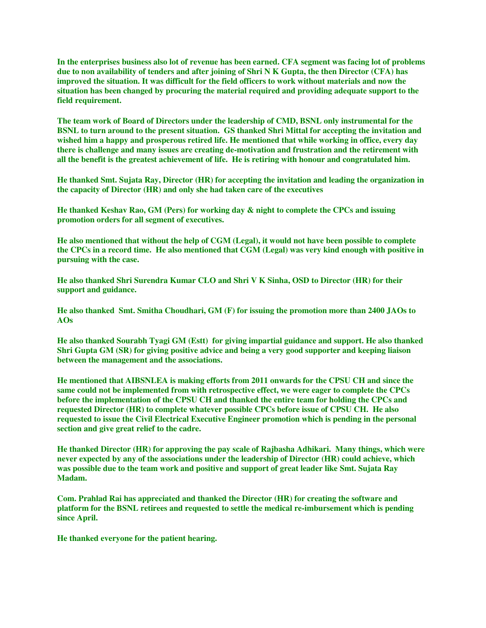**In the enterprises business also lot of revenue has been earned. CFA segment was facing lot of problems due to non availability of tenders and after joining of Shri N K Gupta, the then Director (CFA) has improved the situation. It was difficult for the field officers to work without materials and now the situation has been changed by procuring the material required and providing adequate support to the field requirement.**

**The team work of Board of Directors under the leadership of CMD, BSNL only instrumental for the BSNL to turn around to the present situation. GS thanked Shri Mittal for accepting the invitation and wished him a happy and prosperous retired life. He mentioned that while working in office, every day there is challenge and many issues are creating de-motivation and frustration and the retirement with all the benefit is the greatest achievement of life. He is retiring with honour and congratulated him.**

**He thanked Smt. Sujata Ray, Director (HR) for accepting the invitation and leading the organization in the capacity of Director (HR) and only she had taken care of the executives**

**He thanked Keshav Rao, GM (Pers) for working day & night to complete the CPCs and issuing promotion orders for all segment of executives.**

**He also mentioned that without the help of CGM (Legal), it would not have been possible to complete the CPCs in a record time. He also mentioned that CGM (Legal) was very kind enough with positive in pursuing with the case.** 

**He also thanked Shri Surendra Kumar CLO and Shri V K Sinha, OSD to Director (HR) for their support and guidance.**

**He also thanked Smt. Smitha Choudhari, GM (F) for issuing the promotion more than 2400 JAOs to AOs**

**He also thanked Sourabh Tyagi GM (Estt) for giving impartial guidance and support. He also thanked Shri Gupta GM (SR) for giving positive advice and being a very good supporter and keeping liaison between the management and the associations.**

**He mentioned that AIBSNLEA is making efforts from 2011 onwards for the CPSU CH and since the same could not be implemented from with retrospective effect, we were eager to complete the CPCs before the implementation of the CPSU CH and thanked the entire team for holding the CPCs and requested Director (HR) to complete whatever possible CPCs before issue of CPSU CH. He also requested to issue the Civil Electrical Executive Engineer promotion which is pending in the personal section and give great relief to the cadre.**

**He thanked Director (HR) for approving the pay scale of Rajbasha Adhikari. Many things, which were never expected by any of the associations under the leadership of Director (HR) could achieve, which was possible due to the team work and positive and support of great leader like Smt. Sujata Ray Madam.**

**Com. Prahlad Rai has appreciated and thanked the Director (HR) for creating the software and platform for the BSNL retirees and requested to settle the medical re-imbursement which is pending since April.**

**He thanked everyone for the patient hearing.**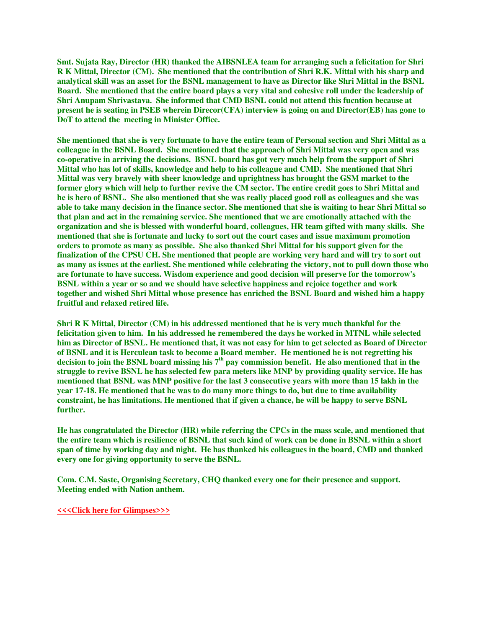**Smt. Sujata Ray, Director (HR) thanked the AIBSNLEA team for arranging such a felicitation for Shri R K Mittal, Director (CM). She mentioned that the contribution of Shri R.K. Mittal with his sharp and analytical skill was an asset for the BSNL management to have as Director like Shri Mittal in the BSNL Board. She mentioned that the entire board plays a very vital and cohesive roll under the leadership of Shri Anupam Shrivastava. She informed that CMD BSNL could not attend this fucntion because at present he is seating in PSEB wherein Direcor(CFA) interview is going on and Director(EB) has gone to DoT to attend the meeting in Minister Office.**

**She mentioned that she is very fortunate to have the entire team of Personal section and Shri Mittal as a colleague in the BSNL Board. She mentioned that the approach of Shri Mittal was very open and was co-operative in arriving the decisions. BSNL board has got very much help from the support of Shri Mittal who has lot of skills, knowledge and help to his colleague and CMD. She mentioned that Shri Mittal was very bravely with sheer knowledge and uprightness has brought the GSM market to the former glory which will help to further revive the CM sector. The entire credit goes to Shri Mittal and he is hero of BSNL. She also mentioned that she was really placed good roll as colleagues and she was able to take many decision in the finance sector. She mentioned that she is waiting to hear Shri Mittal so that plan and act in the remaining service. She mentioned that we are emotionally attached with the organization and she is blessed with wonderful board, colleagues, HR team gifted with many skills. She mentioned that she is fortunate and lucky to sort out the court cases and issue maximum promotion orders to promote as many as possible. She also thanked Shri Mittal for his support given for the finalization of the CPSU CH. She mentioned that people are working very hard and will try to sort out as many as issues at the earliest. She mentioned while celebrating the victory, not to pull down those who are fortunate to have success. Wisdom experience and good decision will preserve for the tomorrow's BSNL within a year or so and we should have selective happiness and rejoice together and work together and wished Shri Mittal whose presence has enriched the BSNL Board and wished him a happy fruitful and relaxed retired life.**

**Shri R K Mittal, Director (CM) in his addressed mentioned that he is very much thankful for the felicitation given to him. In his addressed he remembered the days he worked in MTNL while selected him as Director of BSNL. He mentioned that, it was not easy for him to get selected as Board of Director of BSNL and it is Herculean task to become a Board member. He mentioned he is not regretting his decision to join the BSNL board missing his 7th pay commission benefit. He also mentioned that in the struggle to revive BSNL he has selected few para meters like MNP by providing quality service. He has mentioned that BSNL was MNP positive for the last 3 consecutive years with more than 15 lakh in the year 17-18. He mentioned that he was to do many more things to do, but due to time availability constraint, he has limitations. He mentioned that if given a chance, he will be happy to serve BSNL further.**

**He has congratulated the Director (HR) while referring the CPCs in the mass scale, and mentioned that the entire team which is resilience of BSNL that such kind of work can be done in BSNL within a short span of time by working day and night. He has thanked his colleagues in the board, CMD and thanked every one for giving opportunity to serve the BSNL.**

**Com. C.M. Saste, Organising Secretary, CHQ thanked every one for their presence and support. Meeting ended with Nation anthem.**

**[<<<Click here for Glimpses>>>](https://photos.app.goo.gl/md5qx2KzDiYUDhzo7)**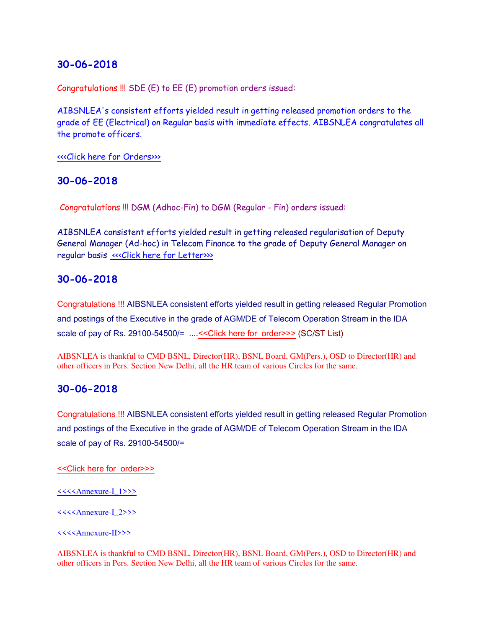Congratulations !!! SDE (E) to EE (E) promotion orders issued:

AIBSNLEA's consistent efforts yielded result in getting released promotion orders to the grade of EE (Electrical) on Regular basis with immediate effects. AIBSNLEA congratulates all the promote officers.

[<<<Click here for Orders>>>](http://www.aibsnleachq.in/EE%20%20Reg%2029.06.18..pdf)

### **30-06-2018**

Congratulations !!! DGM (Adhoc-Fin) to DGM (Regular - Fin) orders issued:

AIBSNLEA consistent efforts yielded result in getting released regularisation of Deputy General Manager (Ad-hoc) in Telecom Finance to the grade of Deputy General Manager on regular basis «<< Click here for Letter>>>

## **30-06-2018**

Congratulations !!! AIBSNLEA consistent efforts yielded result in getting released Regular Promotion and postings of the Executive in the grade of AGM/DE of Telecom Operation Stream in the IDA scale of pay of Rs. 29100-54500/= ...[.<<Click here for order>>>](http://www.aibsnleachq.in/Promotion%20list_SC_ST_29.06.18.PDF) (SC/ST List)

AIBSNLEA is thankful to CMD BSNL, Director(HR), BSNL Board, GM(Pers.), OSD to Director(HR) and other officers in Pers. Section New Delhi, all the HR team of various Circles for the same.

### **30-06-2018**

Congratulations !!! AIBSNLEA consistent efforts yielded result in getting released Regular Promotion and postings of the Executive in the grade of AGM/DE of Telecom Operation Stream in the IDA scale of pay of Rs. 29100-54500/=

[<<Click here for order>>>](http://www.aibsnleachq.in/AGM-promotion-order.pdf)

[<<<<Annexure-I\\_1>>>](http://www.aibsnleachq.in/ANNEXURE-I_1.pdf)

[<<<<Annexure-I\\_2>>>](http://www.aibsnleachq.in/ANNEXURE_1_2.pdf)

[<<<<Annexure-II>>>](http://www.aibsnleachq.in/ANNEXURE-II_290618.pdf)

AIBSNLEA is thankful to CMD BSNL, Director(HR), BSNL Board, GM(Pers.), OSD to Director(HR) and other officers in Pers. Section New Delhi, all the HR team of various Circles for the same.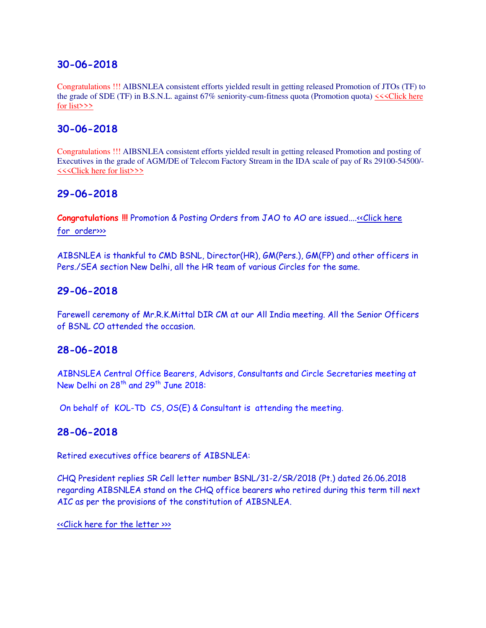Congratulations !!! AIBSNLEA consistent efforts yielded result in getting released Promotion of JTOs (TF) to the grade of SDE (TF) in B.S.N.L. against 67% seniority-cum-fitness quota (Promotion quota) [<<<Click here](http://www.aibsnleachq.in/JTO%20(TF)%20-%20SDE%20(TF).pdf)  [for list>>>](http://www.aibsnleachq.in/JTO%20(TF)%20-%20SDE%20(TF).pdf)

# **30-06-2018**

Congratulations !!! AIBSNLEA consistent efforts yielded result in getting released Promotion and posting of Executives in the grade of AGM/DE of Telecom Factory Stream in the IDA scale of pay of Rs 29100-54500/- [<<<Click here for list>>>](http://www.aibsnleachq.in/TF_290618_1.pdf)

## **29-06-2018**

**Congratulations !!!** Promotion & Posting Orders from JAO to AO are issued..[..<<Click here](http://www.aibsnleachq.in/jao%20to%20ao%20promotion%2029.06.2018.pdf)  [for order>>>](http://www.aibsnleachq.in/jao%20to%20ao%20promotion%2029.06.2018.pdf)

AIBSNLEA is thankful to CMD BSNL, Director(HR), GM(Pers.), GM(FP) and other officers in Pers./SEA section New Delhi, all the HR team of various Circles for the same.

### **29-06-2018**

Farewell ceremony of Mr.R.K.Mittal DIR CM at our All India meeting. All the Senior Officers of BSNL CO attended the occasion.

### **28-06-2018**

AIBNSLEA Central Office Bearers, Advisors, Consultants and Circle Secretaries meeting at New Delhi on 28<sup>th</sup> and 29<sup>th</sup> June 2018:

On behalf of KOL-TD CS, OS(E) & Consultant is attending the meeting.

### **28-06-2018**

Retired executives office bearers of AIBSNLEA:

CHQ President replies SR Cell letter number BSNL/31-2/SR/2018 (Pt.) dated 26.06.2018 regarding AIBSNLEA stand on the CHQ office bearers who retired during this term till next AIC as per the provisions of the constitution of AIBSNLEA.

[<<Click here for the letter >>>](http://www.aibsnleachq.in/President_180626.PDF)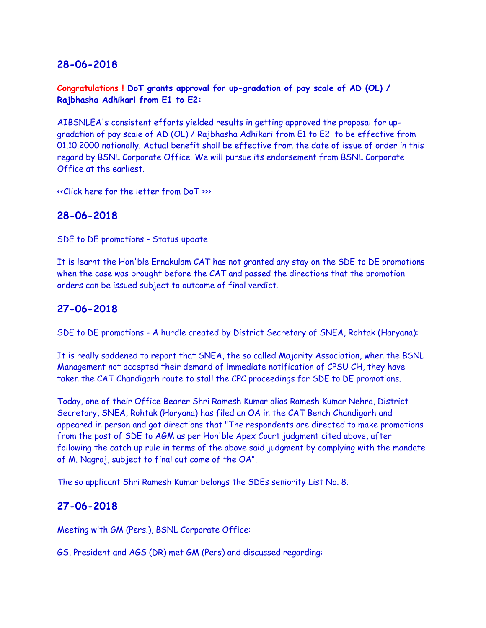**Congratulations ! DoT grants approval for up-gradation of pay scale of AD (OL) / Rajbhasha Adhikari from E1 to E2:**

AIBSNLEA's consistent efforts yielded results in getting approved the proposal for upgradation of pay scale of AD (OL) / Rajbhasha Adhikari from E1 to E2 to be effective from 01.10.2000 notionally. Actual benefit shall be effective from the date of issue of order in this regard by BSNL Corporate Office. We will pursue its endorsement from BSNL Corporate Office at the earliest.

[<<Click here for the letter from DoT >>>](http://www.aibsnleachq.in/ADOL_260618.jpeg)

## **28-06-2018**

SDE to DE promotions - Status update

It is learnt the Hon'ble Ernakulam CAT has not granted any stay on the SDE to DE promotions when the case was brought before the CAT and passed the directions that the promotion orders can be issued subject to outcome of final verdict.

## **27-06-2018**

SDE to DE promotions - A hurdle created by District Secretary of SNEA, Rohtak (Haryana):

It is really saddened to report that SNEA, the so called Majority Association, when the BSNL Management not accepted their demand of immediate notification of CPSU CH, they have taken the CAT Chandigarh route to stall the CPC proceedings for SDE to DE promotions.

Today, one of their Office Bearer Shri Ramesh Kumar alias Ramesh Kumar Nehra, District Secretary, SNEA, Rohtak (Haryana) has filed an OA in the CAT Bench Chandigarh and appeared in person and got directions that "The respondents are directed to make promotions from the post of SDE to AGM as per Hon'ble Apex Court judgment cited above, after following the catch up rule in terms of the above said judgment by complying with the mandate of M. Nagraj, subject to final out come of the OA".

The so applicant Shri Ramesh Kumar belongs the SDEs seniority List No. 8.

## **27-06-2018**

Meeting with GM (Pers.), BSNL Corporate Office:

GS, President and AGS (DR) met GM (Pers) and discussed regarding: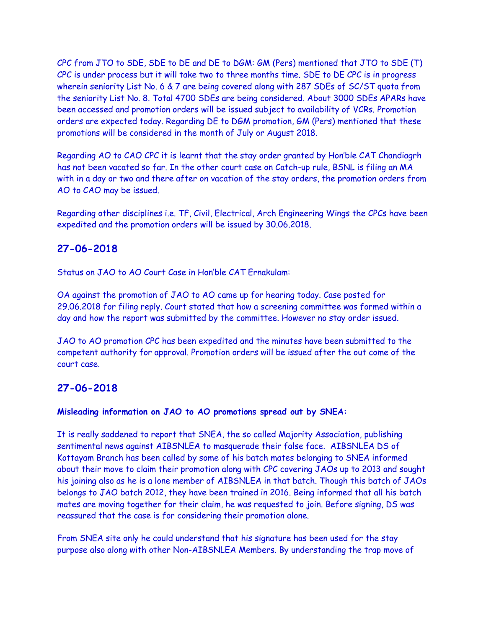CPC from JTO to SDE, SDE to DE and DE to DGM: GM (Pers) mentioned that JTO to SDE (T) CPC is under process but it will take two to three months time. SDE to DE CPC is in progress wherein seniority List No. 6 & 7 are being covered along with 287 SDEs of SC/ST quota from the seniority List No. 8. Total 4700 SDEs are being considered. About 3000 SDEs APARs have been accessed and promotion orders will be issued subject to availability of VCRs. Promotion orders are expected today. Regarding DE to DGM promotion, GM (Pers) mentioned that these promotions will be considered in the month of July or August 2018.

Regarding AO to CAO CPC it is learnt that the stay order granted by Hon'ble CAT Chandiagrh has not been vacated so far. In the other court case on Catch-up rule, BSNL is filing an MA with in a day or two and there after on vacation of the stay orders, the promotion orders from AO to CAO may be issued.

Regarding other disciplines i.e. TF, Civil, Electrical, Arch Engineering Wings the CPCs have been expedited and the promotion orders will be issued by 30.06.2018.

## **27-06-2018**

Status on JAO to AO Court Case in Hon'ble CAT Ernakulam:

OA against the promotion of JAO to AO came up for hearing today. Case posted for 29.06.2018 for filing reply. Court stated that how a screening committee was formed within a day and how the report was submitted by the committee. However no stay order issued.

JAO to AO promotion CPC has been expedited and the minutes have been submitted to the competent authority for approval. Promotion orders will be issued after the out come of the court case.

## **27-06-2018**

#### **Misleading information on JAO to AO promotions spread out by SNEA:**

It is really saddened to report that SNEA, the so called Majority Association, publishing sentimental news against AIBSNLEA to masquerade their false face. AIBSNLEA DS of Kottayam Branch has been called by some of his batch mates belonging to SNEA informed about their move to claim their promotion along with CPC covering JAOs up to 2013 and sought his joining also as he is a lone member of AIBSNLEA in that batch. Though this batch of JAOs belongs to JAO batch 2012, they have been trained in 2016. Being informed that all his batch mates are moving together for their claim, he was requested to join. Before signing, DS was reassured that the case is for considering their promotion alone.

From SNEA site only he could understand that his signature has been used for the stay purpose also along with other Non-AIBSNLEA Members. By understanding the trap move of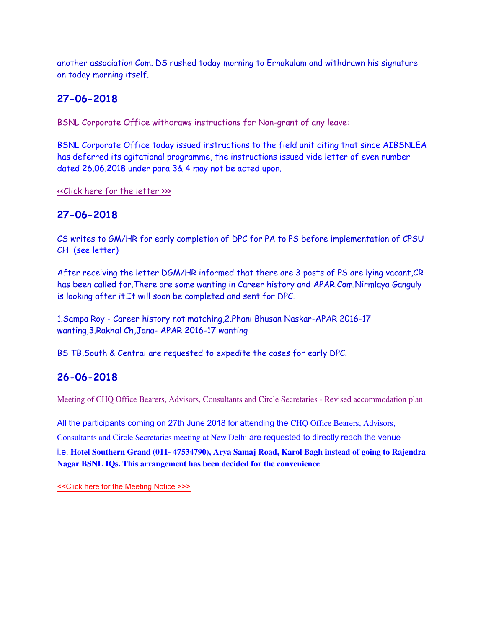another association Com. DS rushed today morning to Ernakulam and withdrawn his signature on today morning itself.

# **27-06-2018**

BSNL Corporate Office withdraws instructions for Non-grant of any leave:

BSNL Corporate Office today issued instructions to the field unit citing that since AIBSNLEA has deferred its agitational programme, the instructions issued vide letter of even number dated 26.06.2018 under para 3& 4 may not be acted upon.

[<<Click here for the letter >>>](http://www.aibsnleachq.in/Def20001.pdf)

# **27-06-2018**

CS writes to GM/HR for early completion of DPC for PA to PS before implementation of CPSU CH (see letter)

After receiving the letter DGM/HR informed that there are 3 posts of PS are lying vacant,CR has been called for.There are some wanting in Career history and APAR.Com.Nirmlaya Ganguly is looking after it.It will soon be completed and sent for DPC.

1.Sampa Roy - Career history not matching,2.Phani Bhusan Naskar-APAR 2016-17 wanting,3.Rakhal Ch,Jana- APAR 2016-17 wanting

BS TB,South & Central are requested to expedite the cases for early DPC.

# **26-06-2018**

Meeting of CHQ Office Bearers, Advisors, Consultants and Circle Secretaries - Revised accommodation plan

All the participants coming on 27th June 2018 for attending the CHQ Office Bearers, Advisors,

Consultants and Circle Secretaries meeting at New Delhi are requested to directly reach the venue

i.e. **Hotel Southern Grand (011- 47534790), Arya Samaj Road, Karol Bagh instead of going to Rajendra Nagar BSNL IQs. This arrangement has been decided for the convenience**

[<<Click here for the Meeting Notice >>>](http://www.aibsnleachq.in/meeting_180626.pdf)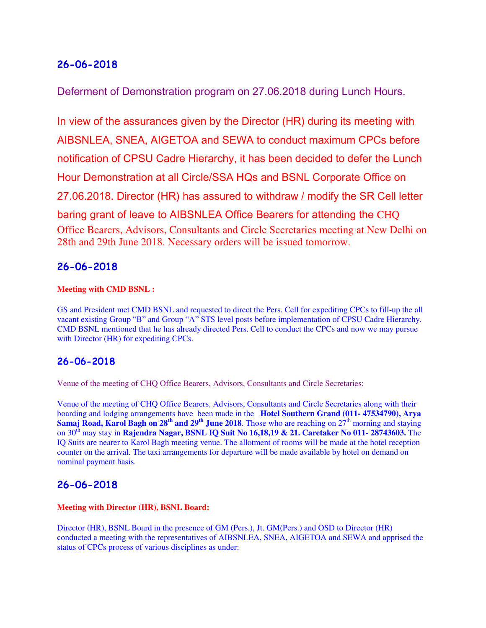Deferment of Demonstration program on 27.06.2018 during Lunch Hours.

In view of the assurances given by the Director (HR) during its meeting with AIBSNLEA, SNEA, AIGETOA and SEWA to conduct maximum CPCs before notification of CPSU Cadre Hierarchy, it has been decided to defer the Lunch Hour Demonstration at all Circle/SSA HQs and BSNL Corporate Office on 27.06.2018. Director (HR) has assured to withdraw / modify the SR Cell letter baring grant of leave to AIBSNLEA Office Bearers for attending the CHQ Office Bearers, Advisors, Consultants and Circle Secretaries meeting at New Delhi on 28th and 29th June 2018. Necessary orders will be issued tomorrow.

## **26-06-2018**

#### **Meeting with CMD BSNL :**

GS and President met CMD BSNL and requested to direct the Pers. Cell for expediting CPCs to fill-up the all vacant existing Group "B" and Group "A" STS level posts before implementation of CPSU Cadre Hierarchy. CMD BSNL mentioned that he has already directed Pers. Cell to conduct the CPCs and now we may pursue with Director (HR) for expediting CPCs.

## **26-06-2018**

Venue of the meeting of CHQ Office Bearers, Advisors, Consultants and Circle Secretaries:

Venue of the meeting of CHQ Office Bearers, Advisors, Consultants and Circle Secretaries along with their boarding and lodging arrangements have been made in the **Hotel Southern Grand (011- 47534790), Arya Samaj Road, Karol Bagh on**  $28^{th}$  **and**  $29^{th}$  **June 2018**. Those who are reaching on  $27^{th}$  morning and staying on 30th may stay in **Rajendra Nagar, BSNL IQ Suit No 16,18,19 & 21. Caretaker No 011- 28743603.** The IQ Suits are nearer to Karol Bagh meeting venue. The allotment of rooms will be made at the hotel reception counter on the arrival. The taxi arrangements for departure will be made available by hotel on demand on nominal payment basis.

## **26-06-2018**

#### **Meeting with Director (HR), BSNL Board:**

Director (HR), BSNL Board in the presence of GM (Pers.), Jt. GM(Pers.) and OSD to Director (HR) conducted a meeting with the representatives of AIBSNLEA, SNEA, AIGETOA and SEWA and apprised the status of CPCs process of various disciplines as under: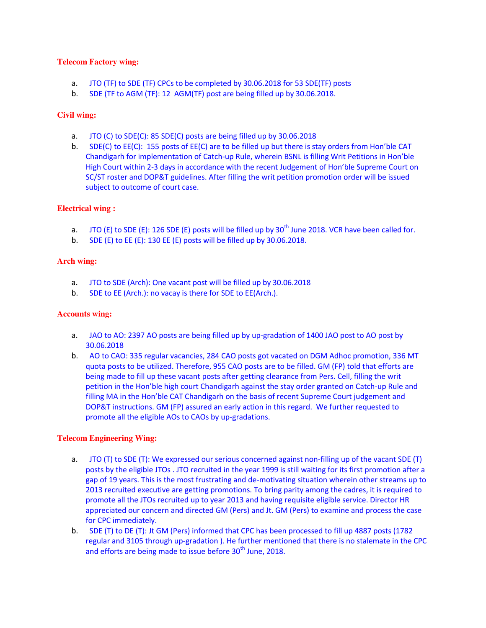#### **Telecom Factory wing:**

- a. JTO (TF) to SDE (TF) CPCs to be completed by 30.06.2018 for 53 SDE(TF) posts
- b. SDE (TF to AGM (TF): 12 AGM(TF) post are being filled up by 30.06.2018.

#### **Civil wing:**

- a. JTO (C) to SDE(C): 85 SDE(C) posts are being filled up by 30.06.2018
- b. SDE(C) to EE(C): 155 posts of EE(C) are to be filled up but there is stay orders from Hon'ble CAT Chandigarh for implementation of Catch-up Rule, wherein BSNL is filling Writ Petitions in Hon'ble High Court within 2-3 days in accordance with the recent Judgement of Hon'ble Supreme Court on SC/ST roster and DOP&T guidelines. After filling the writ petition promotion order will be issued subject to outcome of court case.

#### **Electrical wing :**

- a. JTO (E) to SDE (E): 126 SDE (E) posts will be filled up by  $30<sup>th</sup>$  June 2018. VCR have been called for.
- b. SDE (E) to EE (E): 130 EE (E) posts will be filled up by 30.06.2018.

#### **Arch wing:**

- a. JTO to SDE (Arch): One vacant post will be filled up by 30.06.2018
- b. SDE to EE (Arch.): no vacay is there for SDE to EE(Arch.).

#### **Accounts wing:**

- a. JAO to AO: 2397 AO posts are being filled up by up-gradation of 1400 JAO post to AO post by 30.06.2018
- b. AO to CAO: 335 regular vacancies, 284 CAO posts got vacated on DGM Adhoc promotion, 336 MT quota posts to be utilized. Therefore, 955 CAO posts are to be filled. GM (FP) told that efforts are being made to fill up these vacant posts after getting clearance from Pers. Cell, filling the writ petition in the Hon'ble high court Chandigarh against the stay order granted on Catch-up Rule and filling MA in the Hon'ble CAT Chandigarh on the basis of recent Supreme Court judgement and DOP&T instructions. GM (FP) assured an early action in this regard. We further requested to promote all the eligible AOs to CAOs by up-gradations.

#### **Telecom Engineering Wing:**

- a. JTO (T) to SDE (T): We expressed our serious concerned against non-filling up of the vacant SDE (T) posts by the eligible JTOs . JTO recruited in the year 1999 is still waiting for its first promotion after a gap of 19 years. This is the most frustrating and de-motivating situation wherein other streams up to 2013 recruited executive are getting promotions. To bring parity among the cadres, it is required to promote all the JTOs recruited up to year 2013 and having requisite eligible service. Director HR appreciated our concern and directed GM (Pers) and Jt. GM (Pers) to examine and process the case for CPC immediately.
- b. SDE (T) to DE (T): Jt GM (Pers) informed that CPC has been processed to fill up 4887 posts (1782 regular and 3105 through up-gradation ). He further mentioned that there is no stalemate in the CPC and efforts are being made to issue before  $30<sup>th</sup>$  June, 2018.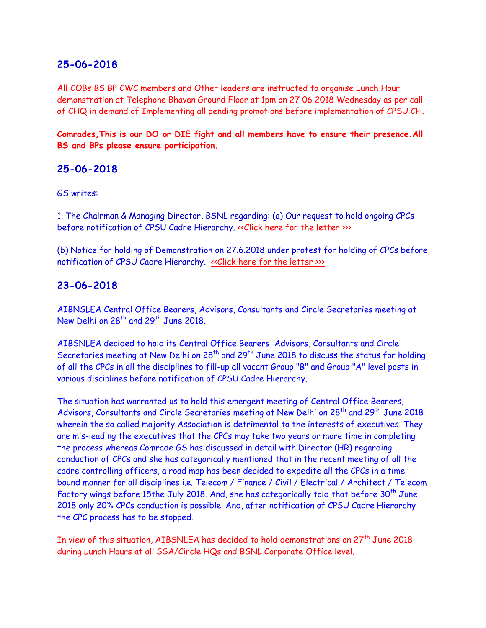All COBs BS BP CWC members and Other leaders are instructed to organise Lunch Hour demonstration at Telephone Bhavan Ground Floor at 1pm on 27 06 2018 Wednesday as per call of CHQ in demand of Implementing all pending promotions before implementation of CPSU CH.

**Comrades,This is our DO or DIE fight and all members have to ensure their presence.All BS and BPs please ensure participation.**

### **25-06-2018**

GS writes:

1. The Chairman & Managing Director, BSNL regarding: (a) Our request to hold ongoing CPCs before notification of CPSU Cadre Hierarchy. «Click here for the letter »

(b) Notice for holding of Demonstration on 27.6.2018 under protest for holding of CPCs before notification of CPSU Cadre Hierarchy. «Click here for the letter >>>

### **23-06-2018**

AIBNSLEA Central Office Bearers, Advisors, Consultants and Circle Secretaries meeting at New Delhi on 28<sup>th</sup> and 29<sup>th</sup> June 2018.

AIBSNLEA decided to hold its Central Office Bearers, Advisors, Consultants and Circle Secretaries meeting at New Delhi on  $28<sup>th</sup>$  and  $29<sup>th</sup>$  June 2018 to discuss the status for holding of all the CPCs in all the disciplines to fill-up all vacant Group "B" and Group "A" level posts in various disciplines before notification of CPSU Cadre Hierarchy.

The situation has warranted us to hold this emergent meeting of Central Office Bearers, Advisors, Consultants and Circle Secretaries meeting at New Delhi on 28<sup>th</sup> and 29<sup>th</sup> June 2018 wherein the so called majority Association is detrimental to the interests of executives. They are mis-leading the executives that the CPCs may take two years or more time in completing the process whereas Comrade GS has discussed in detail with Director (HR) regarding conduction of CPCs and she has categorically mentioned that in the recent meeting of all the cadre controlling officers, a road map has been decided to expedite all the CPCs in a time bound manner for all disciplines i.e. Telecom / Finance / Civil / Electrical / Architect / Telecom Factory wings before 15the July 2018. And, she has categorically told that before 30<sup>th</sup> June 2018 only 20% CPCs conduction is possible. And, after notification of CPSU Cadre Hierarchy the CPC process has to be stopped.

In view of this situation, AIBSNLEA has decided to hold demonstrations on 27<sup>th</sup> June 2018 during Lunch Hours at all SSA/Circle HQs and BSNL Corporate Office level.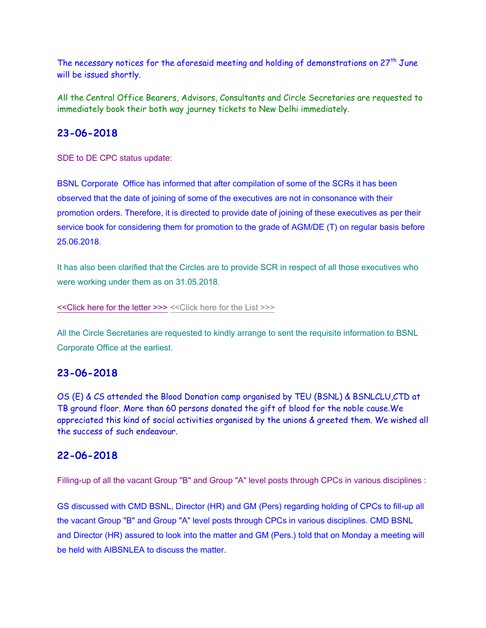The necessary notices for the aforesaid meeting and holding of demonstrations on  $27<sup>th</sup>$  June will be issued shortly.

All the Central Office Bearers, Advisors, Consultants and Circle Secretaries are requested to immediately book their both way journey tickets to New Delhi immediately.

## **23-06-2018**

SDE to DE CPC status update:

BSNL Corporate Office has informed that after compilation of some of the SCRs it has been observed that the date of joining of some of the executives are not in consonance with their promotion orders. Therefore, it is directed to provide date of joining of these executives as per their service book for considering them for promotion to the grade of AGM/DE (T) on regular basis before 25.06.2018.

It has also been clarified that the Circles are to provide SCR in respect of all those executives who were working under them as on 31.05.2018.

[<<Click here for the letter >>>](http://www.aibsnleachq.in/DPC_220618_3.pdf) [<<Click here for the List >>>](http://www.aibsnleachq.in/DOJ_LIST_6&7_22.06.18%20(2).xlsx)

All the Circle Secretaries are requested to kindly arrange to sent the requisite information to BSNL Corporate Office at the earliest.

# **23-06-2018**

OS (E) & CS attended the Blood Donation camp organised by TEU (BSNL) & BSNLCLU,CTD at TB ground floor. More than 60 persons donated the gift of blood for the noble cause.We appreciated this kind of social activities organised by the unions & greeted them. We wished all the success of such endeavour.

## **22-06-2018**

Filling-up of all the vacant Group "B" and Group "A" level posts through CPCs in various disciplines :

GS discussed with CMD BSNL, Director (HR) and GM (Pers) regarding holding of CPCs to fill-up all the vacant Group "B" and Group "A" level posts through CPCs in various disciplines. CMD BSNL and Director (HR) assured to look into the matter and GM (Pers.) told that on Monday a meeting will be held with AIBSNLEA to discuss the matter.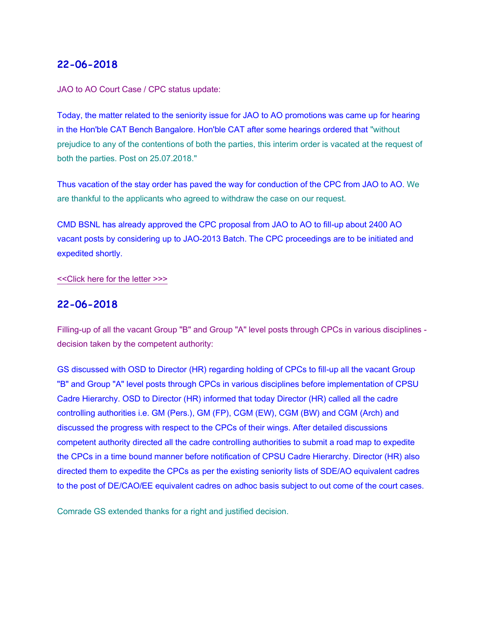#### JAO to AO Court Case / CPC status update:

Today, the matter related to the seniority issue for JAO to AO promotions was came up for hearing in the Hon'ble CAT Bench Bangalore. Hon'ble CAT after some hearings ordered that "without prejudice to any of the contentions of both the parties, this interim order is vacated at the request of both the parties. Post on 25.07.2018."

Thus vacation of the stay order has paved the way for conduction of the CPC from JAO to AO. We are thankful to the applicants who agreed to withdraw the case on our request.

CMD BSNL has already approved the CPC proposal from JAO to AO to fill-up about 2400 AO vacant posts by considering up to JAO-2013 Batch. The CPC proceedings are to be initiated and expedited shortly.

#### [<<Click here for the letter >>>](http://www.aibsnleachq.in/IMG-20180621-WA0033.jpg)

### **22-06-2018**

Filling-up of all the vacant Group "B" and Group "A" level posts through CPCs in various disciplines decision taken by the competent authority:

GS discussed with OSD to Director (HR) regarding holding of CPCs to fill-up all the vacant Group "B" and Group "A" level posts through CPCs in various disciplines before implementation of CPSU Cadre Hierarchy. OSD to Director (HR) informed that today Director (HR) called all the cadre controlling authorities i.e. GM (Pers.), GM (FP), CGM (EW), CGM (BW) and CGM (Arch) and discussed the progress with respect to the CPCs of their wings. After detailed discussions competent authority directed all the cadre controlling authorities to submit a road map to expedite the CPCs in a time bound manner before notification of CPSU Cadre Hierarchy. Director (HR) also directed them to expedite the CPCs as per the existing seniority lists of SDE/AO equivalent cadres to the post of DE/CAO/EE equivalent cadres on adhoc basis subject to out come of the court cases.

Comrade GS extended thanks for a right and justified decision.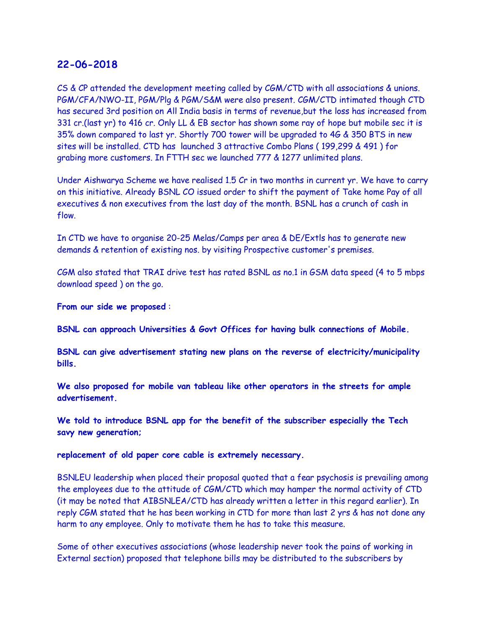CS & CP attended the development meeting called by CGM/CTD with all associations & unions. PGM/CFA/NWO-II, PGM/Plg & PGM/S&M were also present. CGM/CTD intimated though CTD has secured 3rd position on All India basis in terms of revenue,but the loss has increased from 331 cr.(last yr) to 416 cr. Only LL & EB sector has shown some ray of hope but mobile sec it is 35% down compared to last yr. Shortly 700 tower will be upgraded to 4G & 350 BTS in new sites will be installed. CTD has launched 3 attractive Combo Plans ( 199,299 & 491 ) for grabing more customers. In FTTH sec we launched 777 & 1277 unlimited plans.

Under Aishwarya Scheme we have realised 1.5 Cr in two months in current yr. We have to carry on this initiative. Already BSNL CO issued order to shift the payment of Take home Pay of all executives & non executives from the last day of the month. BSNL has a crunch of cash in flow.

In CTD we have to organise 20-25 Melas/Camps per area & DE/Extls has to generate new demands & retention of existing nos. by visiting Prospective customer's premises.

CGM also stated that TRAI drive test has rated BSNL as no.1 in GSM data speed (4 to 5 mbps download speed ) on the go.

**From our side we proposed** :

**BSNL can approach Universities & Govt Offices for having bulk connections of Mobile.** 

**BSNL can give advertisement stating new plans on the reverse of electricity/municipality bills.**

**We also proposed for mobile van tableau like other operators in the streets for ample advertisement.**

**We told to introduce BSNL app for the benefit of the subscriber especially the Tech savy new generation;**

**replacement of old paper core cable is extremely necessary.**

BSNLEU leadership when placed their proposal quoted that a fear psychosis is prevailing among the employees due to the attitude of CGM/CTD which may hamper the normal activity of CTD (it may be noted that AIBSNLEA/CTD has already written a letter in this regard earlier). In reply CGM stated that he has been working in CTD for more than last 2 yrs & has not done any harm to any employee. Only to motivate them he has to take this measure.

Some of other executives associations (whose leadership never took the pains of working in External section) proposed that telephone bills may be distributed to the subscribers by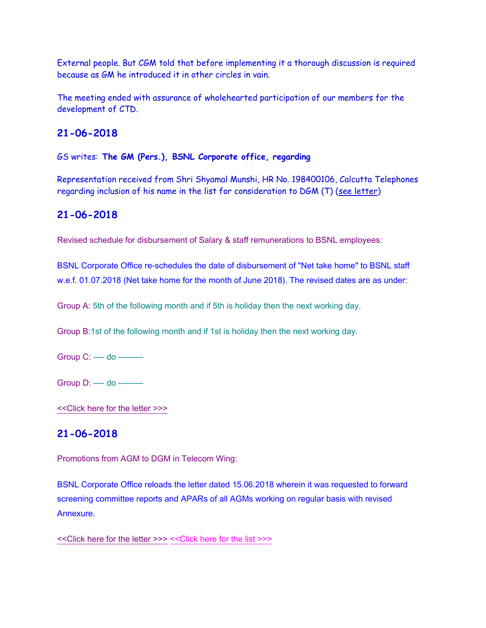External people. But CGM told that before implementing it a thorough discussion is required because as GM he introduced it in other circles in vain.

The meeting ended with assurance of wholehearted participation of our members for the development of CTD.

## **21-06-2018**

GS writes: **The GM (Pers.), BSNL Corporate office, regarding** 

Representation received from Shri Shyamal Munshi, HR No. 198400106, Calcutta Telephones regarding inclusion of his name in the list for consideration to DGM (T) (see letter)

# **21-06-2018**

Revised schedule for disbursement of Salary & staff remunerations to BSNL employees:

BSNL Corporate Office re-schedules the date of disbursement of "Net take home" to BSNL staff w.e.f. 01.07.2018 (Net take home for the month of June 2018). The revised dates are as under:

Group A: 5th of the following month and if 5th is holiday then the next working day.

Group B:1st of the following month and if 1st is holiday then the next working day.

Group C: ---- do ---------

Group D: ---- do ---------

[<<Click here for the letter >>>](http://www.aibsnleachq.in/SALARY.pdf)

# **21-06-2018**

Promotions from AGM to DGM in Telecom Wing:

BSNL Corporate Office reloads the letter dated 15.06.2018 wherein it was requested to forward screening committee reports and APARs of all AGMs working on regular basis with revised **Annexure** 

[<<Click here for the letter >>>](http://www.aibsnleachq.in/dpc_150618_2.pdf) [<<Click here for the list >>>](http://www.aibsnleachq.in/AGMS-19062018.xlsx)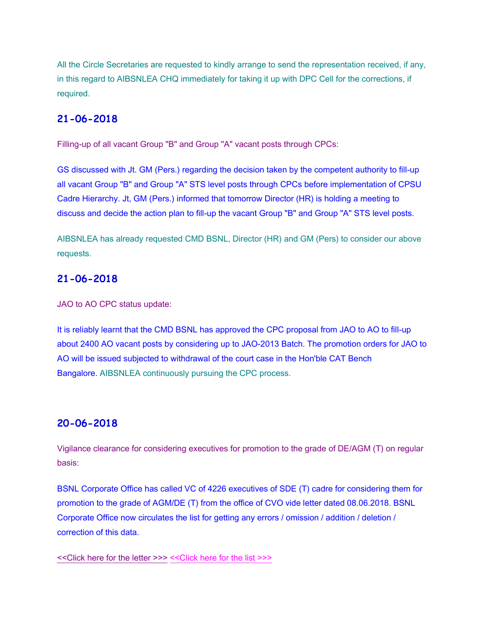All the Circle Secretaries are requested to kindly arrange to send the representation received, if any, in this regard to AIBSNLEA CHQ immediately for taking it up with DPC Cell for the corrections, if required.

### **21-06-2018**

Filling-up of all vacant Group "B" and Group "A" vacant posts through CPCs:

GS discussed with Jt. GM (Pers.) regarding the decision taken by the competent authority to fill-up all vacant Group "B" and Group "A" STS level posts through CPCs before implementation of CPSU Cadre Hierarchy. Jt, GM (Pers.) informed that tomorrow Director (HR) is holding a meeting to discuss and decide the action plan to fill-up the vacant Group "B" and Group "A" STS level posts.

AIBSNLEA has already requested CMD BSNL, Director (HR) and GM (Pers) to consider our above requests.

### **21-06-2018**

JAO to AO CPC status update:

It is reliably learnt that the CMD BSNL has approved the CPC proposal from JAO to AO to fill-up about 2400 AO vacant posts by considering up to JAO-2013 Batch. The promotion orders for JAO to AO will be issued subjected to withdrawal of the court case in the Hon'ble CAT Bench Bangalore. AIBSNLEA continuously pursuing the CPC process.

### **20-06-2018**

Vigilance clearance for considering executives for promotion to the grade of DE/AGM (T) on regular basis:

BSNL Corporate Office has called VC of 4226 executives of SDE (T) cadre for considering them for promotion to the grade of AGM/DE (T) from the office of CVO vide letter dated 08.06.2018. BSNL Corporate Office now circulates the list for getting any errors / omission / addition / deletion / correction of this data.

[<<Click here for the letter >>>](http://www.aibsnleachq.in/DPC_190618_5.pdf) [<<Click here for the list >>>](http://www.aibsnleachq.in/dpc_190618_1.xlsx)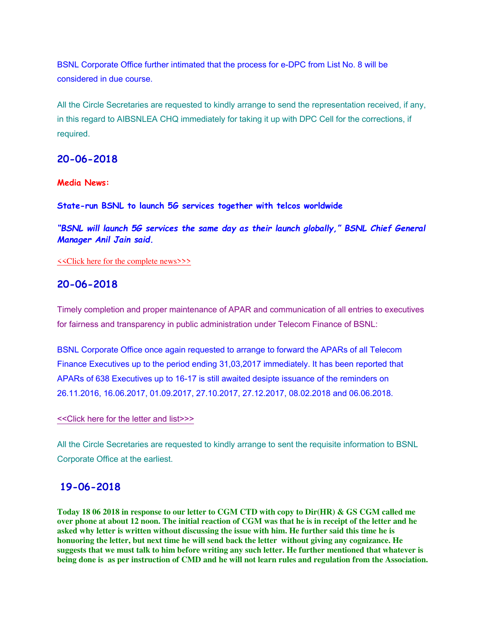BSNL Corporate Office further intimated that the process for e-DPC from List No. 8 will be considered in due course.

All the Circle Secretaries are requested to kindly arrange to send the representation received, if any, in this regard to AIBSNLEA CHQ immediately for taking it up with DPC Cell for the corrections, if required.

### **20-06-2018**

#### **Media News:**

**State-run BSNL to launch 5G services together with telcos worldwide**

*"BSNL will launch 5G services the same day as their launch globally," BSNL Chief General Manager Anil Jain said.*

[<<Click here for the complete news>>>](https://telecom.economictimes.indiatimes.com/news/state-run-bsnl-to-launch-5g-services-together-with-telcos-worldwide/64647443)

### **20-06-2018**

Timely completion and proper maintenance of APAR and communication of all entries to executives for fairness and transparency in public administration under Telecom Finance of BSNL:

BSNL Corporate Office once again requested to arrange to forward the APARs of all Telecom Finance Executives up to the period ending 31,03,2017 immediately. It has been reported that APARs of 638 Executives up to 16-17 is still awaited desipte issuance of the reminders on 26.11.2016, 16.06.2017, 01.09.2017, 27.10.2017, 27.12.2017, 08.02.2018 and 06.06.2018.

#### [<<Click here for the letter and list>>>](http://www.aibsnleachq.in/Pending%20APAR.pdf)

All the Circle Secretaries are requested to kindly arrange to sent the requisite information to BSNL Corporate Office at the earliest.

### **19-06-2018**

**Today 18 06 2018 in response to our letter to CGM CTD with copy to Dir(HR) & GS CGM called me over phone at about 12 noon. The initial reaction of CGM was that he is in receipt of the letter and he asked why letter is written without discussing the issue with him. He further said this time he is honuoring the letter, but next time he will send back the letter without giving any cognizance. He suggests that we must talk to him before writing any such letter. He further mentioned that whatever is being done is as per instruction of CMD and he will not learn rules and regulation from the Association.**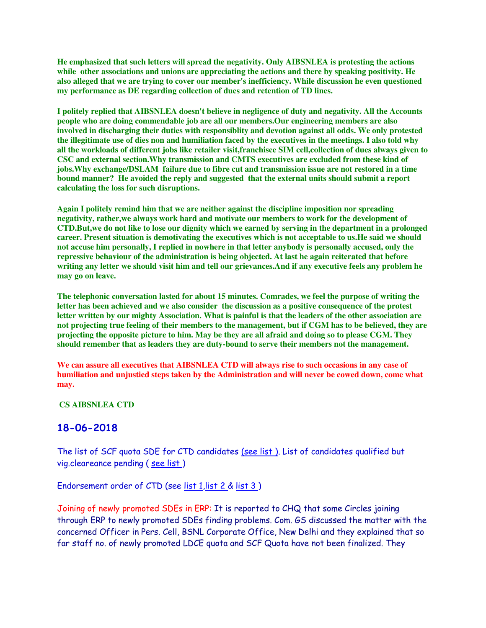**He emphasized that such letters will spread the negativity. Only AIBSNLEA is protesting the actions while other associations and unions are appreciating the actions and there by speaking positivity. He also alleged that we are trying to cover our member's inefficiency. While discussion he even questioned my performance as DE regarding collection of dues and retention of TD lines.**

**I politely replied that AIBSNLEA doesn't believe in negligence of duty and negativity. All the Accounts people who are doing commendable job are all our members.Our engineering members are also involved in discharging their duties with responsiblity and devotion against all odds. We only protested the illegitimate use of dies non and humiliation faced by the executives in the meetings. I also told why all the workloads of different jobs like retailer visit,franchisee SIM cell,collection of dues always given to CSC and external section.Why transmission and CMTS executives are excluded from these kind of jobs.Why exchange/DSLAM failure due to fibre cut and transmission issue are not restored in a time bound manner? He avoided the reply and suggested that the external units should submit a report calculating the loss for such disruptions.**

**Again I politely remind him that we are neither against the discipline imposition nor spreading negativity, rather,we always work hard and motivate our members to work for the development of CTD.But,we do not like to lose our dignity which we earned by serving in the department in a prolonged career. Present situation is demotivating the executives which is not acceptable to us.He said we should not accuse him personally, I replied in nowhere in that letter anybody is personally accused, only the repressive behaviour of the administration is being objected. At last he again reiterated that before writing any letter we should visit him and tell our grievances.And if any executive feels any problem he may go on leave.**

**The telephonic conversation lasted for about 15 minutes. Comrades, we feel the purpose of writing the letter has been achieved and we also consider the discussion as a positive consequence of the protest letter written by our mighty Association. What is painful is that the leaders of the other association are not projecting true feeling of their members to the management, but if CGM has to be believed, they are projecting the opposite picture to him. May be they are all afraid and doing so to please CGM. They should remember that as leaders they are duty-bound to serve their members not the management.**

**We can assure all executives that AIBSNLEA CTD will always rise to such occasions in any case of humiliation and unjustied steps taken by the Administration and will never be cowed down, come what may.**

 **CS AIBSNLEA CTD**

### **18-06-2018**

The list of SCF quota SDE for CTD candidates [\(see list \).](http://aibsnleawb.org/SCF%20list.xls) List of candidates qualified but vig.cleareance pending ( [see list \)](http://aibsnleawb.org/SCF_VIG%20list.xls)

Endorsement order of CTD (see [list 1,](http://aibsnleawb.org/jto%20to%20sde(scf)11.pdf) [list 2 &](http://aibsnleawb.org/jto%20to%20sde(scf)22.pdf) list 3)

Joining of newly promoted SDEs in ERP: It is reported to CHQ that some Circles joining through ERP to newly promoted SDEs finding problems. Com. GS discussed the matter with the concerned Officer in Pers. Cell, BSNL Corporate Office, New Delhi and they explained that so far staff no. of newly promoted LDCE quota and SCF Quota have not been finalized. They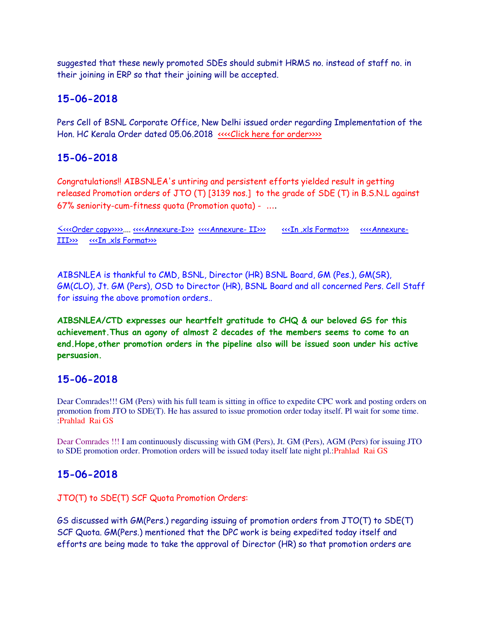suggested that these newly promoted SDEs should submit HRMS no. instead of staff no. in their joining in ERP so that their joining will be accepted.

### **15-06-2018**

Pers Cell of BSNL Corporate Office, New Delhi issued order regarding Implementation of the Hon. HC Kerala Order dated 05.06.2018 [<<<<Click here for order>>>>](http://www.aibsnleachq.in/kerala-high-court-order.pdf)

## **15-06-2018**

Congratulations!! AIBSNLEA's untiring and persistent efforts yielded result in getting released Promotion orders of JTO (T) [3139 nos.] to the grade of SDE (T) in B.S.N.L against 67% seniority-cum-fitness quota (Promotion quota) - ....

<[<<<Order copy>>>>.](http://www.aibsnleachq.in/Promotion_order.PDF)... [<<<<Annexure-I>>>](http://www.aibsnleachq.in/Annx_I_Part_1_Fit%20Cases.PDF) [<<<<Annexure- II>>>](http://www.aibsnleachq.in/Annx_I_Part_II_Fit%20Cases.PDF) [<<<In .xls Format>>>](http://www.aibsnleachq.in/JTO_SCF_PROA_180615.xlsx) [<<<<Annexure-](http://www.aibsnleachq.in/Annx_II_VC_Pending%20Cases.PDF)[III>>>](http://www.aibsnleachq.in/Annx_II_VC_Pending%20Cases.PDF) [<<<In .xls Format>>>](http://www.aibsnleachq.in/JTO_SCF_PROB_Vc_180615.xlsx)

AIBSNLEA is thankful to CMD, BSNL, Director (HR) BSNL Board, GM (Pes.), GM(SR), GM(CLO), Jt. GM (Pers), OSD to Director (HR), BSNL Board and all concerned Pers. Cell Staff for issuing the above promotion orders..

**AIBSNLEA/CTD expresses our heartfelt gratitude to CHQ & our beloved GS for this achievement.Thus an agony of almost 2 decades of the members seems to come to an end.Hope,other promotion orders in the pipeline also will be issued soon under his active persuasion.**

## **15-06-2018**

Dear Comrades!!! GM (Pers) with his full team is sitting in office to expedite CPC work and posting orders on promotion from JTO to SDE(T). He has assured to issue promotion order today itself. Pl wait for some time. :Prahlad Rai GS

Dear Comrades !!! I am continuously discussing with GM (Pers), Jt. GM (Pers), AGM (Pers) for issuing JTO to SDE promotion order. Promotion orders will be issued today itself late night pl.:Prahlad Rai GS

## **15-06-2018**

JTO(T) to SDE(T) SCF Quota Promotion Orders:

GS discussed with GM(Pers.) regarding issuing of promotion orders from JTO(T) to SDE(T) SCF Quota. GM(Pers.) mentioned that the DPC work is being expedited today itself and efforts are being made to take the approval of Director (HR) so that promotion orders are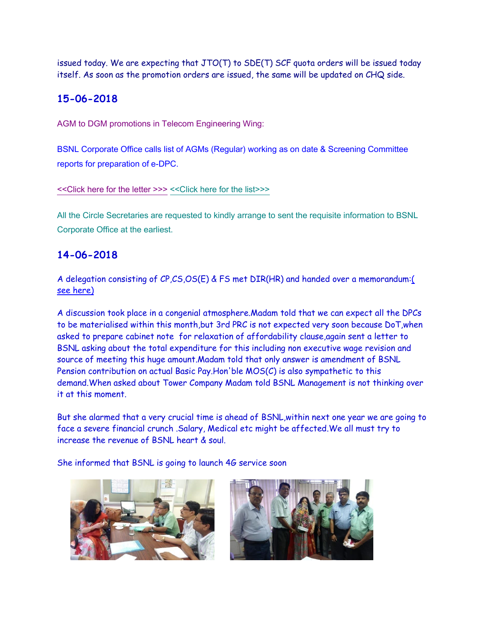issued today. We are expecting that  $JTO(T)$  to  $SDE(T)$  SCF quota orders will be issued today itself. As soon as the promotion orders are issued, the same will be updated on CHQ side.

# **15-06-2018**

AGM to DGM promotions in Telecom Engineering Wing:

BSNL Corporate Office calls list of AGMs (Regular) working as on date & Screening Committee reports for preparation of e-DPC.

[<<Click here for the letter >>>](http://www.aibsnleachq.in/DPC-01_15.06.2018.PDF) [<<Click here for the list>>>](http://www.aibsnleachq.in/AGM-Regular15062018_FOR%20UPLOAD.xlsx)

All the Circle Secretaries are requested to kindly arrange to sent the requisite information to BSNL Corporate Office at the earliest.

# **14-06-2018**

A delegation consisting of CP,CS,OS(E) & FS met DIR(HR) and handed over a memorandum[:\(](http://aibsnleawb.org/DIR(HR)140618.pdf)  [see here\)](http://aibsnleawb.org/DIR(HR)140618.pdf)

A discussion took place in a congenial atmosphere.Madam told that we can expect all the DPCs to be materialised within this month,but 3rd PRC is not expected very soon because DoT,when asked to prepare cabinet note for relaxation of affordability clause,again sent a letter to BSNL asking about the total expenditure for this including non executive wage revision and source of meeting this huge amount.Madam told that only answer is amendment of BSNL Pension contribution on actual Basic Pay.Hon'ble MOS(C) is also sympathetic to this demand.When asked about Tower Company Madam told BSNL Management is not thinking over it at this moment.

But she alarmed that a very crucial time is ahead of BSNL,within next one year we are going to face a severe financial crunch .Salary, Medical etc might be affected.We all must try to increase the revenue of BSNL heart & soul.

She informed that BSNL is going to launch 4G service soon



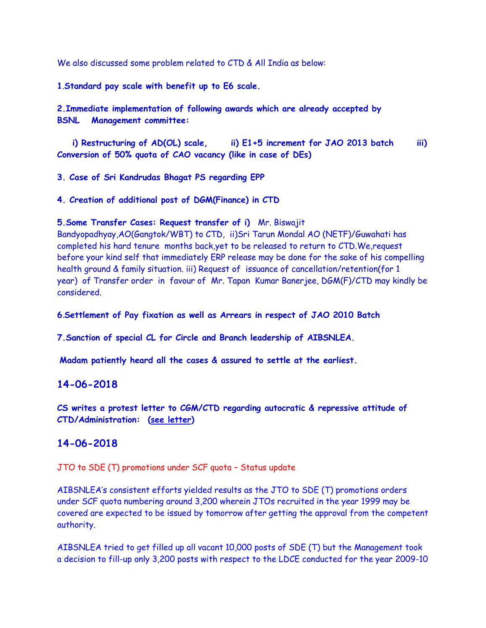We also discussed some problem related to CTD & All India as below:

**1**.**Standard pay scale with benefit up to E6 scale.**

**2.Immediate implementation of following awards which are already accepted by BSNL Management committee:**

 **i) Restructuring of AD(OL) scale, ii) E1+5 increment for JAO 2013 batch iii) Conversion of 50% quota of CAO vacancy (like in case of DEs)**

**3. Case of Sri Kandrudas Bhagat PS regarding EPP** 

**4. Creation of additional post of DGM(Finance) in CTD** 

#### **5.Some Transfer Cases: Request transfer of i)** Mr. Biswajit

Bandyopadhyay,AO(Gangtok/WBT) to CTD, ii)Sri Tarun Mondal AO (NETF)/Guwahati has completed his hard tenure months back,yet to be released to return to CTD.We,request before your kind self that immediately ERP release may be done for the sake of his compelling health ground & family situation. iii) Request of issuance of cancellation/retention(for 1 year) of Transfer order in favour of Mr. Tapan Kumar Banerjee, DGM(F)/CTD may kindly be considered.

**6**.**Settlement of Pay fixation as well as Arrears in respect of JAO 2010 Batch**

**7.Sanction of special CL for Circle and Branch leadership of AIBSNLEA.**

**Madam patiently heard all the cases & assured to settle at the earliest.**

### **14-06-2018**

**CS writes a protest letter to CGM/CTD regarding autocratic & repressive attitude of CTD/Administration: [\(see letter\)](http://aibsnleawb.org/CGMLetter140618.pdf)**

### **14-06-2018**

JTO to SDE (T) promotions under SCF quota – Status update

AIBSNLEA's consistent efforts yielded results as the JTO to SDE (T) promotions orders under SCF quota numbering around 3,200 wherein JTOs recruited in the year 1999 may be covered are expected to be issued by tomorrow after getting the approval from the competent authority.

AIBSNLEA tried to get filled up all vacant 10,000 posts of SDE (T) but the Management took a decision to fill-up only 3,200 posts with respect to the LDCE conducted for the year 2009-10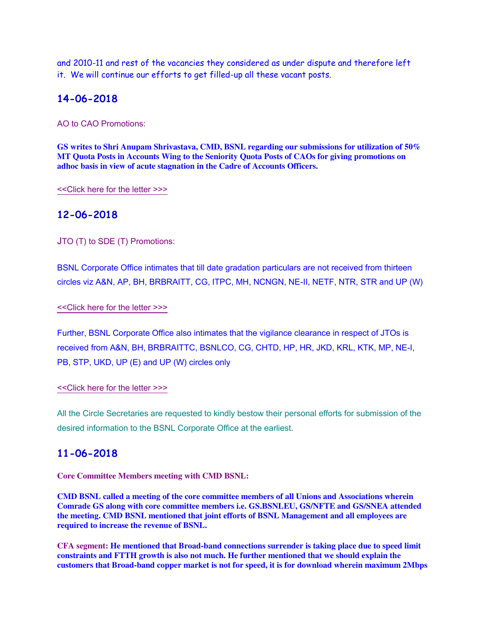and 2010-11 and rest of the vacancies they considered as under dispute and therefore left it. We will continue our efforts to get filled-up all these vacant posts.

### **14-06-2018**

AO to CAO Promotions:

**GS writes to Shri Anupam Shrivastava, CMD, BSNL regarding our submissions for utilization of 50% MT Quota Posts in Accounts Wing to the Seniority Quota Posts of CAOs for giving promotions on adhoc basis in view of acute stagnation in the Cadre of Accounts Officers.**

[<<Click here for the letter >>>](http://www.aibsnleachq.in/CMD_CAO_180614.pdf)

### **12-06-2018**

JTO (T) to SDE (T) Promotions:

BSNL Corporate Office intimates that till date gradation particulars are not received from thirteen circles viz A&N, AP, BH, BRBRAITT, CG, ITPC, MH, NCNGN, NE-II, NETF, NTR, STR and UP (W)

[<<Click here for the letter >>>](http://www.aibsnleachq.in/P-II-05_12.06.2018.PDF)

Further, BSNL Corporate Office also intimates that the vigilance clearance in respect of JTOs is received from A&N, BH, BRBRAITTC, BSNLCO, CG, CHTD, HP, HR, JKD, KRL, KTK, MP, NE-I, PB, STP, UKD, UP (E) and UP (W) circles only

#### [<<Click here for the letter >>>](http://www.aibsnleachq.in/P-II-06_12.06.2018.PDF)

All the Circle Secretaries are requested to kindly bestow their personal efforts for submission of the desired information to the BSNL Corporate Office at the earliest.

### **11-06-2018**

**Core Committee Members meeting with CMD BSNL:**

**CMD BSNL called a meeting of the core committee members of all Unions and Associations wherein Comrade GS along with core committee members i.e. GS.BSNLEU, GS/NFTE and GS/SNEA attended the meeting. CMD BSNL mentioned that joint efforts of BSNL Management and all employees are required to increase the revenue of BSNL.**

**CFA segment: He mentioned that Broad-band connections surrender is taking place due to speed limit constraints and FTTH growth is also not much. He further mentioned that we should explain the customers that Broad-band copper market is not for speed, it is for download wherein maximum 2Mbps**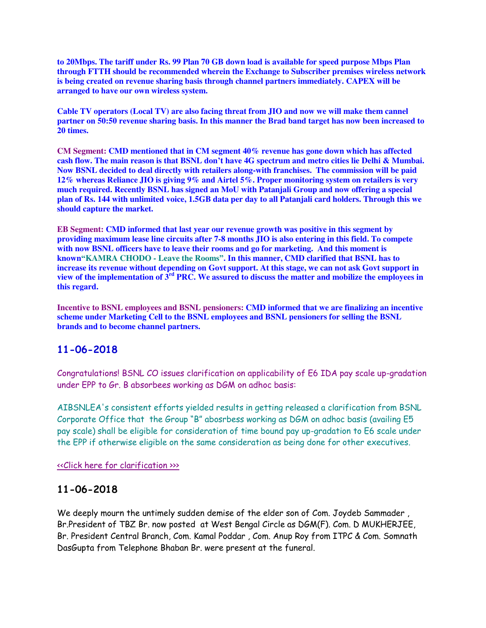**to 20Mbps. The tariff under Rs. 99 Plan 70 GB down load is available for speed purpose Mbps Plan through FTTH should be recommended wherein the Exchange to Subscriber premises wireless network is being created on revenue sharing basis through channel partners immediately. CAPEX will be arranged to have our own wireless system.**

**Cable TV operators (Local TV) are also facing threat from JIO and now we will make them cannel partner on 50:50 revenue sharing basis. In this manner the Brad band target has now been increased to 20 times.**

**CM Segment: CMD mentioned that in CM segment 40% revenue has gone down which has affected cash flow. The main reason is that BSNL don't have 4G spectrum and metro cities lie Delhi & Mumbai. Now BSNL decided to deal directly with retailers along-with franchises. The commission will be paid 12% whereas Reliance JIO is giving 9% and Airtel 5%. Proper monitoring system on retailers is very much required. Recently BSNL has signed an MoU with Patanjali Group and now offering a special plan of Rs. 144 with unlimited voice, 1.5GB data per day to all Patanjali card holders. Through this we should capture the market.**

**EB Segment: CMD informed that last year our revenue growth was positive in this segment by providing maximum lease line circuits after 7-8 months JIO is also entering in this field. To compete**  with now BSNL officers have to leave their rooms and go for marketing. And this moment is **known"KAMRA CHODO - Leave the Rooms". In this manner, CMD clarified that BSNL has to increase its revenue without depending on Govt support. At this stage, we can not ask Govt support in view of the implementation of 3rd PRC. We assured to discuss the matter and mobilize the employees in this regard.**

**Incentive to BSNL employees and BSNL pensioners: CMD informed that we are finalizing an incentive scheme under Marketing Cell to the BSNL employees and BSNL pensioners for selling the BSNL brands and to become channel partners.**

## **11-06-2018**

Congratulations! BSNL CO issues clarification on applicability of E6 IDA pay scale up-gradation under EPP to Gr. B absorbees working as DGM on adhoc basis:

AIBSNLEA's consistent efforts yielded results in getting released a clarification from BSNL Corporate Office that the Group "B" abosrbess working as DGM on adhoc basis (availing E5 pay scale) shall be eligible for consideration of time bound pay up-gradation to E6 scale under the EPP if otherwise eligible on the same consideration as being done for other executives.

[<<Click here for clarification >>>](http://www.aibsnleachq.in/EPP-E6-Clarification_11.06.2018.pdf) 

## **11-06-2018**

We deeply mourn the untimely sudden demise of the elder son of Com. Joydeb Sammader , Br.President of TBZ Br. now posted at West Bengal Circle as DGM(F). Com. D MUKHERJEE, Br. President Central Branch, Com. Kamal Poddar , Com. Anup Roy from ITPC & Com. Somnath DasGupta from Telephone Bhaban Br. were present at the funeral.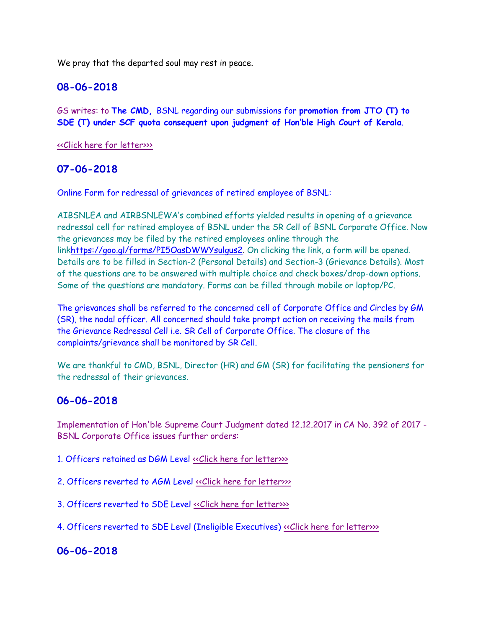We pray that the departed soul may rest in peace.

### **08-06-2018**

GS writes: to **The CMD,** BSNL regarding our submissions for **promotion from JTO (T) to SDE (T) under SCF quota consequent upon judgment of Hon'ble High Court of Kerala**.

[<<Click here for letter>>>](http://www.aibsnleachq.in/CMD_SDE_08062018.pdf)

### **07-06-2018**

Online Form for redressal of grievances of retired employee of BSNL:

AIBSNLEA and AIRBSNLEWA's combined efforts yielded results in opening of a grievance redressal cell for retired employee of BSNL under the SR Cell of BSNL Corporate Office. Now the grievances may be filed by the retired employees online through the lin[khttps://goo.gl/forms/PI5OasDWWYsulgus2.](https://goo.gl/forms/PI5OasDWWYsulgus2) On clicking the link, a form will be opened. Details are to be filled in Section-2 (Personal Details) and Section-3 (Grievance Details). Most of the questions are to be answered with multiple choice and check boxes/drop-down options. Some of the questions are mandatory. Forms can be filled through mobile or laptop/PC.

The grievances shall be referred to the concerned cell of Corporate Office and Circles by GM (SR), the nodal officer. All concerned should take prompt action on receiving the mails from the Grievance Redressal Cell i.e. SR Cell of Corporate Office. The closure of the complaints/grievance shall be monitored by SR Cell.

We are thankful to CMD, BSNL, Director (HR) and GM (SR) for facilitating the pensioners for the redressal of their grievances.

## **06-06-2018**

Implementation of Hon'ble Supreme Court Judgment dated 12.12.2017 in CA No. 392 of 2017 - BSNL Corporate Office issues further orders:

- 1. Officers retained as DGM Level «Click here for letter»
- 2. Officers reverted to AGM Level «Click here for letter»
- 3. Officers reverted to SDE Level «Click here for letter»

4. Officers reverted to SDE Level (Ineligible Executives) [<<Click here for letter>>>](http://www.aibsnleachq.in/412-03_4.pdf)

## **06-06-2018**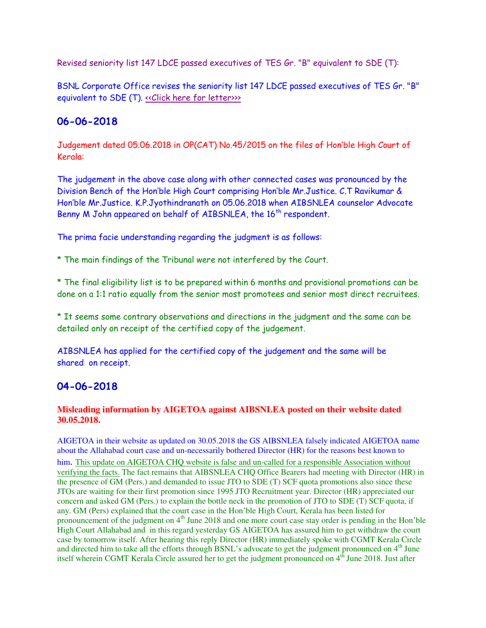Revised seniority list 147 LDCE passed executives of TES Gr. "B" equivalent to SDE (T):

BSNL Corporate Office revises the seniority list 147 LDCE passed executives of TES Gr. "B" equivalent to SDE (T). «Click here for letter»

## **06-06-2018**

Judgement dated 05.06.2018 in OP(CAT) No.45/2015 on the files of Hon'ble High Court of Kerala:

The judgement in the above case along with other connected cases was pronounced by the Division Bench of the Hon'ble High Court comprising Hon'ble Mr.Justice. C.T Ravikumar & Hon'ble Mr.Justice. K.P.Jyothindranath on 05.06.2018 when AIBSNLEA counselor Advocate Benny M John appeared on behalf of AIBSNLEA, the 16<sup>th</sup> respondent.

The prima facie understanding regarding the judgment is as follows:

\* The main findings of the Tribunal were not interfered by the Court.

\* The final eligibility list is to be prepared within 6 months and provisional promotions can be done on a 1:1 ratio equally from the senior most promotees and senior most direct recruitees.

\* It seems some contrary observations and directions in the judgment and the same can be detailed only on receipt of the certified copy of the judgement.

AIBSNLEA has applied for the certified copy of the judgement and the same will be shared on receipt.

## **04-06-2018**

### **Misleading information by AIGETOA against AIBSNLEA posted on their website dated 30.05.2018.**

AIGETOA in their website as updated on 30.05.2018 the GS AIBSNLEA falsely indicated AIGETOA name about the Allahabad court case and un-necessarily bothered Director (HR) for the reasons best known to him. This update on AIGETOA CHQ website is false and un-called for a responsible Association without verifying the facts. The fact remains that AIBSNLEA CHQ Office Bearers had meeting with Director (HR) in the presence of GM (Pers.) and demanded to issue JTO to SDE (T) SCF quota promotions also since these JTOs are waiting for their first promotion since 1995 JTO Recruitment year. Director (HR) appreciated our concern and asked GM (Pers.) to explain the bottle neck in the promotion of JTO to SDE (T) SCF quota, if any. GM (Pers) explained that the court case in the Hon'ble High Court, Kerala has been listed for pronouncement of the judgment on 4<sup>th</sup> June 2018 and one more court case stay order is pending in the Hon'ble High Court Allahabad and in this regard yesterday GS AIGETOA has assured him to get withdraw the court case by tomorrow itself. After hearing this reply Director (HR) immediately spoke with CGMT Kerala Circle and directed him to take all the efforts through BSNL's advocate to get the judgment pronounced on 4<sup>th</sup> June itself wherein CGMT Kerala Circle assured her to get the judgment pronounced on 4<sup>th</sup> June 2018. Just after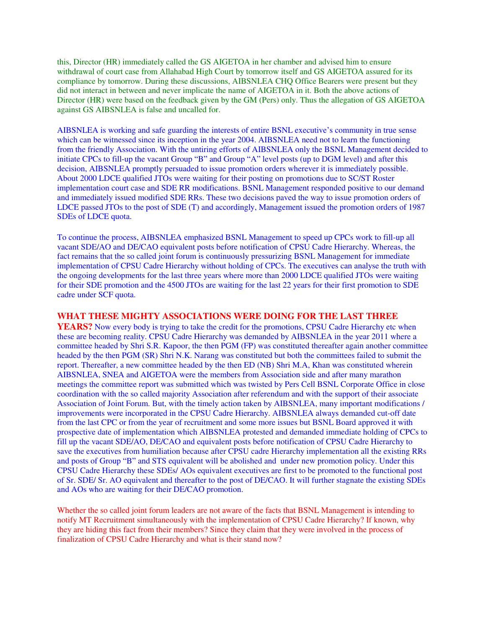this, Director (HR) immediately called the GS AIGETOA in her chamber and advised him to ensure withdrawal of court case from Allahabad High Court by tomorrow itself and GS AIGETOA assured for its compliance by tomorrow. During these discussions, AIBSNLEA CHQ Office Bearers were present but they did not interact in between and never implicate the name of AIGETOA in it. Both the above actions of Director (HR) were based on the feedback given by the GM (Pers) only. Thus the allegation of GS AIGETOA against GS AIBSNLEA is false and uncalled for.

AIBSNLEA is working and safe guarding the interests of entire BSNL executive's community in true sense which can be witnessed since its inception in the year 2004. AIBSNLEA need not to learn the functioning from the friendly Association. With the untiring efforts of AIBSNLEA only the BSNL Management decided to initiate CPCs to fill-up the vacant Group "B" and Group "A" level posts (up to DGM level) and after this decision, AIBSNLEA promptly persuaded to issue promotion orders wherever it is immediately possible. About 2000 LDCE qualified JTOs were waiting for their posting on promotions due to SC/ST Roster implementation court case and SDE RR modifications. BSNL Management responded positive to our demand and immediately issued modified SDE RRs. These two decisions paved the way to issue promotion orders of LDCE passed JTOs to the post of SDE (T) and accordingly, Management issued the promotion orders of 1987 SDEs of LDCE quota.

To continue the process, AIBSNLEA emphasized BSNL Management to speed up CPCs work to fill-up all vacant SDE/AO and DE/CAO equivalent posts before notification of CPSU Cadre Hierarchy. Whereas, the fact remains that the so called joint forum is continuously pressurizing BSNL Management for immediate implementation of CPSU Cadre Hierarchy without holding of CPCs. The executives can analyse the truth with the ongoing developments for the last three years where more than 2000 LDCE qualified JTOs were waiting for their SDE promotion and the 4500 JTOs are waiting for the last 22 years for their first promotion to SDE cadre under SCF quota.

#### **WHAT THESE MIGHTY ASSOCIATIONS WERE DOING FOR THE LAST THREE**

**YEARS?** Now every body is trying to take the credit for the promotions, CPSU Cadre Hierarchy etc when these are becoming reality. CPSU Cadre Hierarchy was demanded by AIBSNLEA in the year 2011 where a committee headed by Shri S.R. Kapoor, the then PGM (FP) was constituted thereafter again another committee headed by the then PGM (SR) Shri N.K. Narang was constituted but both the committees failed to submit the report. Thereafter, a new committee headed by the then ED (NB) Shri M.A, Khan was constituted wherein AIBSNLEA, SNEA and AIGETOA were the members from Association side and after many marathon meetings the committee report was submitted which was twisted by Pers Cell BSNL Corporate Office in close coordination with the so called majority Association after referendum and with the support of their associate Association of Joint Forum. But, with the timely action taken by AIBSNLEA, many important modifications / improvements were incorporated in the CPSU Cadre Hierarchy. AIBSNLEA always demanded cut-off date from the last CPC or from the year of recruitment and some more issues but BSNL Board approved it with prospective date of implementation which AIBSNLEA protested and demanded immediate holding of CPCs to fill up the vacant SDE/AO, DE/CAO and equivalent posts before notification of CPSU Cadre Hierarchy to save the executives from humiliation because after CPSU cadre Hierarchy implementation all the existing RRs and posts of Group "B" and STS equivalent will be abolished and under new promotion policy. Under this CPSU Cadre Hierarchy these SDEs/ AOs equivalent executives are first to be promoted to the functional post of Sr. SDE/ Sr. AO equivalent and thereafter to the post of DE/CAO. It will further stagnate the existing SDEs and AOs who are waiting for their DE/CAO promotion.

Whether the so called joint forum leaders are not aware of the facts that BSNL Management is intending to notify MT Recruitment simultaneously with the implementation of CPSU Cadre Hierarchy? If known, why they are hiding this fact from their members? Since they claim that they were involved in the process of finalization of CPSU Cadre Hierarchy and what is their stand now?